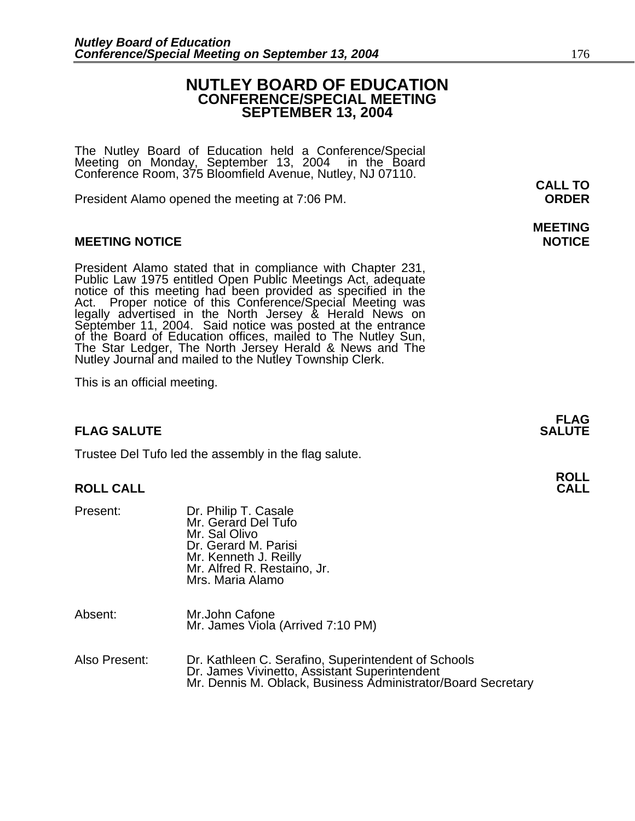# **NUTLEY BOARD OF EDUCATION CONFERENCE/SPECIAL MEETING SEPTEMBER 13, 2004**

The Nutley Board of Education held a Conference/Special Meeting on Monday, September 13, 2004 in the Board Conference Room, 375 Bloomfield Avenue, Nutley, NJ 07110. **CALL TO** 

President Alamo opened the meeting at 7:06 PM. **ORDER**

# **MEETING NOTICE NOTICE**

President Alamo stated that in compliance with Chapter 231,<br>Public Law 1975 entitled Open Public Meetings Act, adequate<br>notice of this meeting had been provided as specified in the<br>Act. Proper notice of this Conference/Spe September 11, 2004. Said notice was posted at the entrance of the Board of Education offices, mailed to The Nutley Sun, The Star Ledger, The North Jersey Herald & News and The Nutley Journal and mailed to the Nutley Township Clerk.

This is an official meeting.

# **FLAG SALUTE SALUTE SALUTE**

Trustee Del Tufo led the assembly in the flag salute.

# **ROLL CALL CALL**

| Present:      | Dr. Philip T. Casale<br>Mr. Gerard Del Tufo<br>Mr. Sal Olivo<br>Dr. Gerard M. Parisi<br>Mr. Kenneth J. Reilly<br>Mr. Alfred R. Restaino, Jr.<br>Mrs. Maria Alamo     |
|---------------|----------------------------------------------------------------------------------------------------------------------------------------------------------------------|
| Absent:       | Mr.John Cafone<br>Mr. James Viola (Arrived 7:10 PM)                                                                                                                  |
| Also Present: | Dr. Kathleen C. Serafino, Superintendent of Schools<br>Dr. James Vivinetto, Assistant Superintendent<br>Mr. Dennis M. Oblack, Business Administrator/Board Secretary |

# **MEETING**

**FLAG**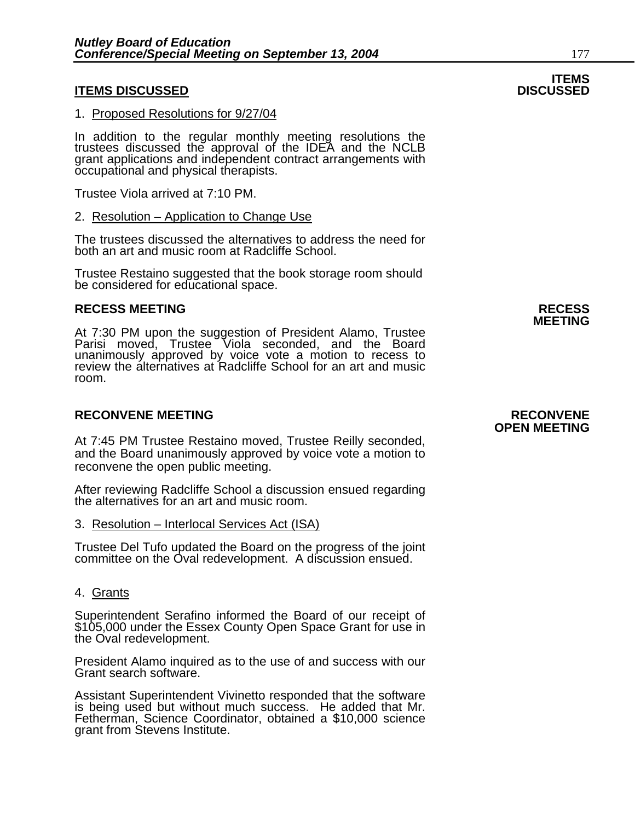# **ITEMS DISCUSSED**

#### 1. Proposed Resolutions for 9/27/04

In addition to the regular monthly meeting resolutions the trustees discussed the approval of the IDEA and the NCLB grant applications and independent contract arrangements with occupational and physical therapists.

Trustee Viola arrived at 7:10 PM.

#### 2. Resolution – Application to Change Use

The trustees discussed the alternatives to address the need for both an art and music room at Radcliffe School.

Trustee Restaino suggested that the book storage room should be considered for educational space.

### **RECESS MEETING RECESS**

At 7:30 PM upon the suggestion of President Alamo, Trustee Parisi moved, Trustee Viola seconded, and the Board unanimously approved by voice vote a motion to recess to review the alternatives at Radcliffe School for an art and music room.

### **RECONVENE MEETING RECONVENE**

At 7:45 PM Trustee Restaino moved, Trustee Reilly seconded, and the Board unanimously approved by voice vote a motion to reconvene the open public meeting.

After reviewing Radcliffe School a discussion ensued regarding the alternatives for an art and music room.

#### 3. Resolution – Interlocal Services Act (ISA)

Trustee Del Tufo updated the Board on the progress of the joint committee on the Oval redevelopment. A discussion ensued.

### 4. Grants

Superintendent Serafino informed the Board of our receipt of \$105,000 under the Essex County Open Space Grant for use in the Oval redevelopment.

President Alamo inquired as to the use of and success with our Grant search software.

Assistant Superintendent Vivinetto responded that the software is being used but without much success. He added that Mr. Fetherman, Science Coordinator, obtained a \$10,000 science grant from Stevens Institute.

# **OPEN MEETING**

**MEETING** 

# **ITEMS**<br>DISCUSSED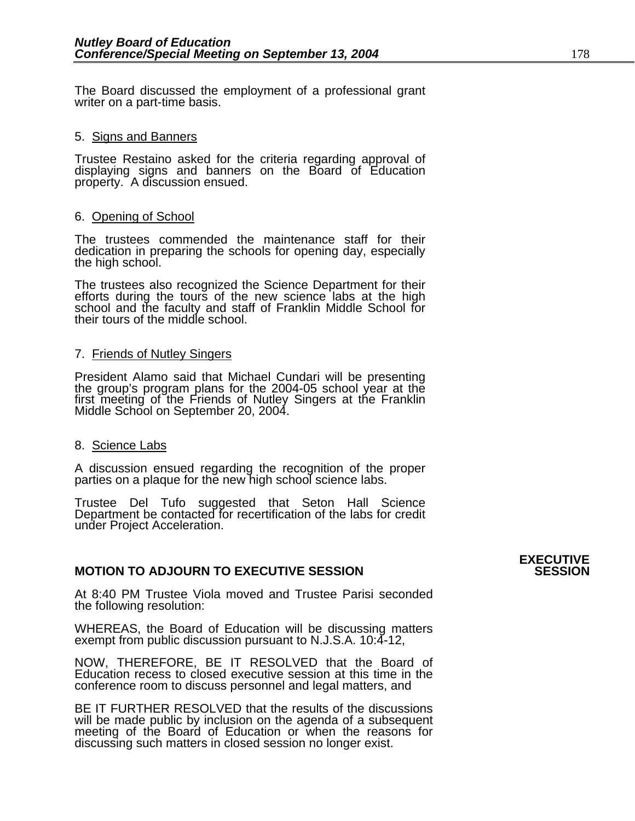The Board discussed the employment of a professional grant writer on a part-time basis.

### 5. Signs and Banners

Trustee Restaino asked for the criteria regarding approval of displaying signs and banners on the Board of Education property. A discussion ensued.

#### 6. Opening of School

The trustees commended the maintenance staff for their dedication in preparing the schools for opening day, especially the high school.

The trustees also recognized the Science Department for their efforts during the tours of the new science labs at the high school and the faculty and staff of Franklin Middle School for their tours of the middle school.

### 7. Friends of Nutley Singers

President Alamo said that Michael Cundari will be presenting<br>the group's program plans for the 2004-05 school year at the<br>first meeting of the Friends of Nutley Singers at the Franklin Middle School on September 20, 2004.

# 8. Science Labs

A discussion ensued regarding the recognition of the proper parties on a plaque for the new high school science labs.

Trustee Del Tufo suggested that Seton Hall Science Department be contacted for recertification of the labs for credit under Project Acceleration.

# **MOTION TO ADJOURN TO EXECUTIVE SESSION**

At 8:40 PM Trustee Viola moved and Trustee Parisi seconded the following resolution:

WHEREAS, the Board of Education will be discussing matters exempt from public discussion pursuant to N.J.S.A. 10:4-12,

NOW, THEREFORE, BE IT RESOLVED that the Board of Education recess to closed executive session at this time in the conference room to discuss personnel and legal matters, and

BE IT FURTHER RESOLVED that the results of the discussions will be made public by inclusion on the agenda of a subsequent meeting of the Board of Education or when the reasons for discussing such matters in closed session no longer exist.

# **EXECUTIVE**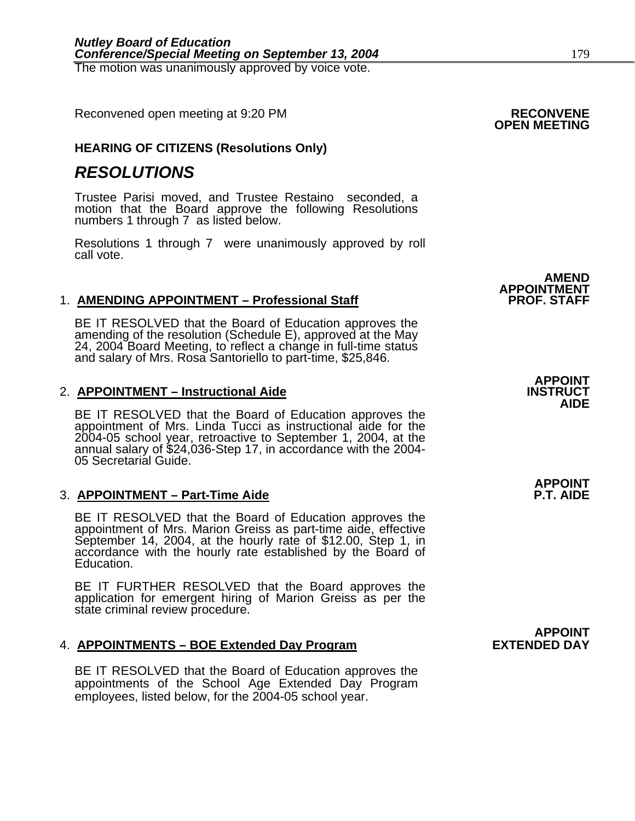Reconvened open meeting at 9:20 PM **RECONVENE OPEN MEETING** 

# **HEARING OF CITIZENS (Resolutions Only)**

# *RESOLUTIONS*

Trustee Parisi moved, and Trustee Restaino seconded, a motion that the Board approve the following Resolutions numbers 1 through 7 as listed below.

Resolutions 1 through 7 were unanimously approved by roll call vote.

### 1. **AMENDING APPOINTMENT – Professional Staff**

BE IT RESOLVED that the Board of Education approves the amending of the resolution (Schedule E), approved at the May 24, 2004 Board Meeting, to reflect a change in full-time status and salary of Mrs. Rosa Santoriello to pa

### 2. **APPOINTMENT – Instructional Aide INSTRUCT**

BE IT RESOLVED that the Board of Education approves the appointment of Mrs. Linda Tucci as instructional aide for the 2004-05 school year, retroactive to September 1, 2004, at the annual salary of \$24,036-Step 17, in accordance with the 2004- 05 Secretarial Guide.

### 3. **APPOINTMENT – Part-Time Aide P.T. AIDE**

BE IT RESOLVED that the Board of Education approves the appointment of Mrs. Marion Greiss as part-time aide, effective September 14, 2004, at the hourly rate of \$12.00, Step 1, in accordance with the hourly rate establishe

BE IT FURTHER RESOLVED that the Board approves the application for emergent hiring of Marion Greiss as per the state criminal review procedure.

## 4. **APPOINTMENTS – BOE Extended Day Program EXTENDED DAY**

BE IT RESOLVED that the Board of Education approves the appointments of the School Age Extended Day Program employees, listed below, for the 2004-05 school year.

**APPOINTMENT** 

**AMEND** 

# **APPOINT AIDE**

**APPOINT** 

**APPOINT**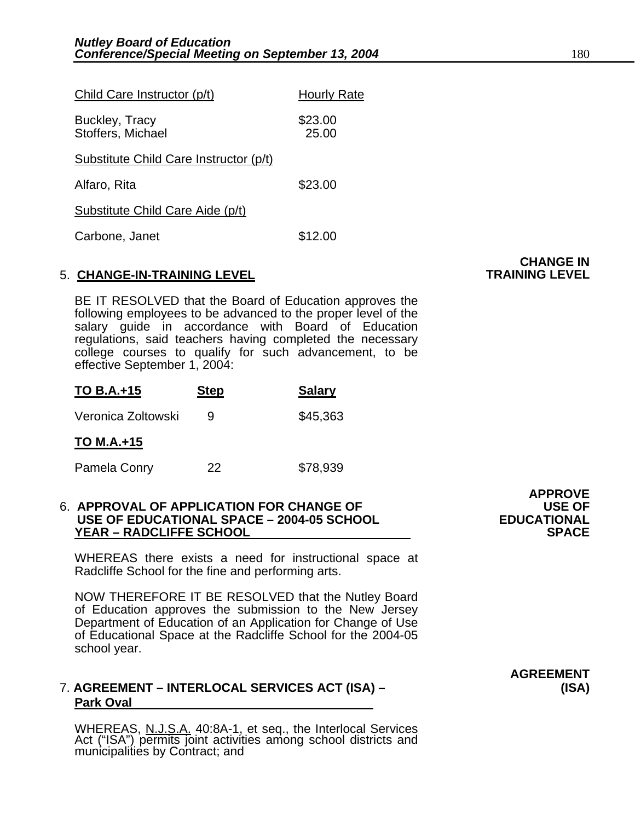| Child Care Instructor (p/t)            | <b>Hourly Rate</b> |
|----------------------------------------|--------------------|
| Buckley, Tracy<br>Stoffers, Michael    | \$23.00<br>25.00   |
| Substitute Child Care Instructor (p/t) |                    |
| Alfaro, Rita                           | \$23.00            |
| Substitute Child Care Aide (p/t)       |                    |
| Carbone, Janet                         | \$12.00            |

#### 5. **CHANGE-IN-TRAINING LEVEL**

BE IT RESOLVED that the Board of Education approves the following employees to be advanced to the proper level of the salary guide in accordance with Board of Education regulations, said teachers having completed the necessary college courses to qualify for such advancement, to be effective September 1, 2004:

| <b>TO B.A.+15</b>  | <b>Step</b> | <b>Salary</b> |
|--------------------|-------------|---------------|
| Veronica Zoltowski |             | \$45,363      |

**TO M.A.+15**

Pamela Conry 22 \$78,939

### 6. **APPROVAL OF APPLICATION FOR CHANGE OF USE OF USE OF EDUCATIONAL SPACE – 2004-05 SCHOOL EDUCATIONAL YEAR – RADCLIFFE SCHOOL**

WHEREAS there exists a need for instructional space at Radcliffe School for the fine and performing arts.

 $\blacksquare$  **APPROVE** 

NOW THEREFORE IT BE RESOLVED that the Nutley Board of Education approves the submission to the New Jersey Department of Education of an Application for Change of Use of Educational Space at the Radcliffe School for the 2004-05 school year.

# 7. **AGREEMENT – INTERLOCAL SERVICES ACT (ISA) – (ISA) Park Oval**

WHEREAS, N.J.S.A. 40:8A-1, et seq., the Interlocal Services Act ("ISA") permits joint activities among school districts and municipalities by Contract; and

**CHANGE IN<br>TRAINING LEVEL** 

**AGREEMENT**